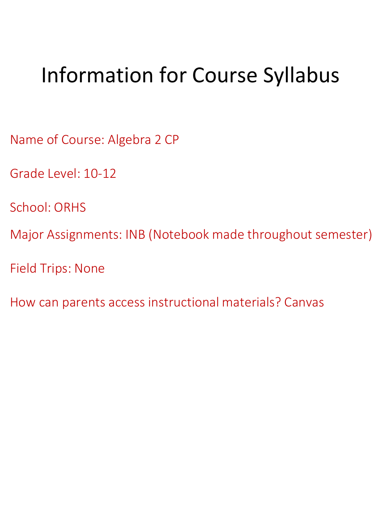# Information for Course Syllabus

Name of Course: Algebra 2 CP

Grade Level: 10-12

School: ORHS

Major Assignments: INB (Notebook made throughout semester)

Field Trips: None

How can parents access instructional materials? Canvas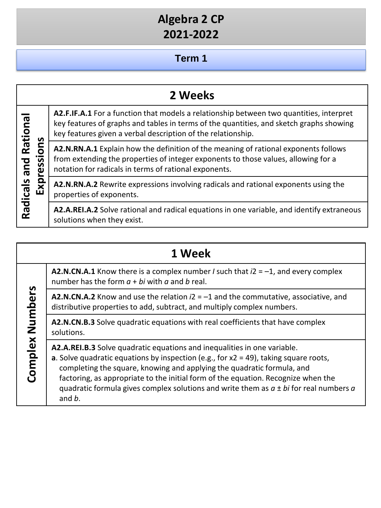## **Term 1**

|                         | 2 Weeks                                                                                                                                                                                                                                            |
|-------------------------|----------------------------------------------------------------------------------------------------------------------------------------------------------------------------------------------------------------------------------------------------|
| Rational<br>n           | A2.F.IF.A.1 For a function that models a relationship between two quantities, interpret<br>key features of graphs and tables in terms of the quantities, and sketch graphs showing<br>key features given a verbal description of the relationship. |
| O<br>S<br>bue<br>Ñ<br>Φ | A2.N.RN.A.1 Explain how the definition of the meaning of rational exponents follows<br>from extending the properties of integer exponents to those values, allowing for a<br>notation for radicals in terms of rational exponents.                 |
| Radicals<br>Exp         | A2.N.RN.A.2 Rewrite expressions involving radicals and rational exponents using the<br>properties of exponents.                                                                                                                                    |
|                         | A2.A.REI.A.2 Solve rational and radical equations in one variable, and identify extraneous<br>solutions when they exist.                                                                                                                           |

|                    | 1 Week                                                                                                                                                                                                                                                                                                                                                                                                                                       |
|--------------------|----------------------------------------------------------------------------------------------------------------------------------------------------------------------------------------------------------------------------------------------------------------------------------------------------------------------------------------------------------------------------------------------------------------------------------------------|
| Numbers<br>Complex | <b>A2.N.CN.A.1</b> Know there is a complex number <i>I</i> such that $i2 = -1$ , and every complex<br>number has the form $a + bi$ with a and b real.                                                                                                                                                                                                                                                                                        |
|                    | <b>A2.N.CN.A.2</b> Know and use the relation $i2 = -1$ and the commutative, associative, and<br>distributive properties to add, subtract, and multiply complex numbers.                                                                                                                                                                                                                                                                      |
|                    | A2.N.CN.B.3 Solve quadratic equations with real coefficients that have complex<br>solutions.                                                                                                                                                                                                                                                                                                                                                 |
|                    | A2.A.REI.B.3 Solve quadratic equations and inequalities in one variable.<br>a. Solve quadratic equations by inspection (e.g., for $x2 = 49$ ), taking square roots,<br>completing the square, knowing and applying the quadratic formula, and<br>factoring, as appropriate to the initial form of the equation. Recognize when the<br>quadratic formula gives complex solutions and write them as $a \pm bi$ for real numbers a<br>and $b$ . |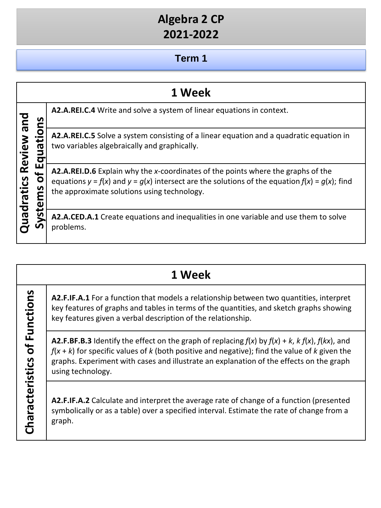#### **Term 1**

|                              | 1 Week                                                                                                                                                                                                                                         |
|------------------------------|------------------------------------------------------------------------------------------------------------------------------------------------------------------------------------------------------------------------------------------------|
| ທ                            | A2.A.REI.C.4 Write and solve a system of linear equations in context.                                                                                                                                                                          |
| Review and<br>π<br>uadratics | A2.A.REI.C.5 Solve a system consisting of a linear equation and a quadratic equation in<br>two variables algebraically and graphically.                                                                                                        |
|                              | <b>A2.A.REI.D.6</b> Explain why the x-coordinates of the points where the graphs of the<br>equations $y = f(x)$ and $y = g(x)$ intersect are the solutions of the equation $f(x) = g(x)$ ; find<br>the approximate solutions using technology. |
| n                            | A2.A.CED.A.1 Create equations and inequalities in one variable and use them to solve<br>problems.                                                                                                                                              |

### **1 Week**

**A2.F.IF.A.1** For a function that models a relationship between two quantities, interpret key features of graphs and tables in terms of the quantities, and sketch graphs showing key features given a verbal description of the relationship.

**A2.F.BF.B.3** Identify the effect on the graph of replacing *f*(*x*) by *f*(*x*) + *k*, *k f*(*x*), *f*(*kx*), and *f*(*x* + *k*) for specific values of *k* (both positive and negative); find the value of *k* given the graphs. Experiment with cases and illustrate an explanation of the effects on the graph using technology.

**Characteristics of Functions**

Characteristics of Functions

**A2.F.IF.A.2** Calculate and interpret the average rate of change of a function (presented symbolically or as a table) over a specified interval. Estimate the rate of change from a graph.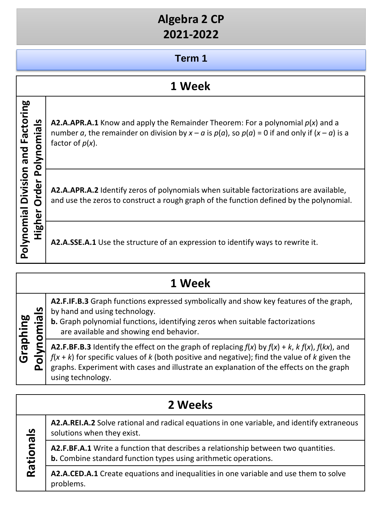#### **Term 1**

#### **1 Week**

**Polynomial Division and Factoring**  Polynomial Division and Factoring **However A2.A.APR.A.1** Know and apply the Remainder Theorem: For a polynomial  $p(x)$  and a<br>number  $a$ , the remainder on division by  $x - a$  is  $p(a)$ , so  $p(a) = 0$  if and only if  $(x - a)$  is<br>factor of  $p(x)$ .<br>**A2.A.APR.A.2** Ident number *a*, the remainder on division by  $x - a$  is  $p(a)$ , so  $p(a) = 0$  if and only if  $(x - a)$  is a factor of *p*(*x*).

**A2.A.APR.A.2** Identify zeros of polynomials when suitable factorizations are available, and use the zeros to construct a rough graph of the function defined by the polynomial.

**A2.A.SSE.A.1** Use the structure of an expression to identify ways to rewrite it.

|                             | 1 Week |                                                                                                                                                                                                                                                                                                                              |  |
|-----------------------------|--------|------------------------------------------------------------------------------------------------------------------------------------------------------------------------------------------------------------------------------------------------------------------------------------------------------------------------------|--|
| Graphing<br>olynomials<br>Δ |        | A2.F.IF.B.3 Graph functions expressed symbolically and show key features of the graph,<br>by hand and using technology.<br>b. Graph polynomial functions, identifying zeros when suitable factorizations<br>are available and showing end behavior.                                                                          |  |
|                             |        | A2.F.BF.B.3 Identify the effect on the graph of replacing $f(x)$ by $f(x) + k$ , $k f(x)$ , $f(kx)$ , and<br>$f(x + k)$ for specific values of k (both positive and negative); find the value of k given the<br>graphs. Experiment with cases and illustrate an explanation of the effects on the graph<br>using technology. |  |
|                             |        |                                                                                                                                                                                                                                                                                                                              |  |

| 2 Weeks             |                                                                                                                                                              |
|---------------------|--------------------------------------------------------------------------------------------------------------------------------------------------------------|
| <u>ဖ</u><br>Rationa | A2.A.REI.A.2 Solve rational and radical equations in one variable, and identify extraneous<br>solutions when they exist.                                     |
|                     | A2.F.BF.A.1 Write a function that describes a relationship between two quantities.<br><b>b.</b> Combine standard function types using arithmetic operations. |
|                     | A2.A.CED.A.1 Create equations and inequalities in one variable and use them to solve<br>problems.                                                            |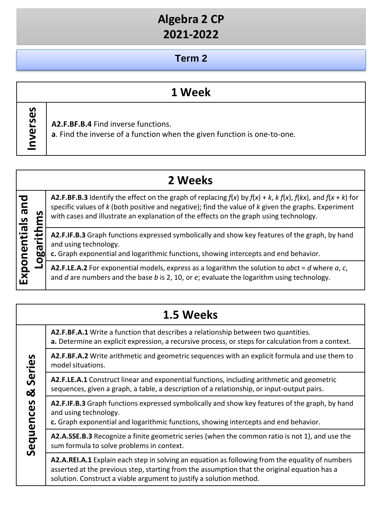#### **Term 2**

#### **1 Week**

Inverses **Inverses**

**A2.F.BF.B.4** Find inverse functions.

**a**. Find the inverse of a function when the given function is one-to-one*.*

|                                                                             |     | 2 Weeks                                                                                                                                                                                                                                                                                                                              |
|-----------------------------------------------------------------------------|-----|--------------------------------------------------------------------------------------------------------------------------------------------------------------------------------------------------------------------------------------------------------------------------------------------------------------------------------------|
| pue<br>S<br>Б.<br>ig<br>De<br>൛<br>O<br><u>s</u><br>$\overline{\mathbf{z}}$ |     | <b>A2.F.BF.B.3</b> Identify the effect on the graph of replacing $f(x)$ by $f(x) + k$ , $k f(x)$ , $f(kx)$ , and $f(x + k)$ for<br>specific values of $k$ (both positive and negative); find the value of $k$ given the graphs. Experiment<br>with cases and illustrate an explanation of the effects on the graph using technology. |
|                                                                             | ומס | A2.F.IF.B.3 Graph functions expressed symbolically and show key features of the graph, by hand<br>and using technology.<br>c. Graph exponential and logarithmic functions, showing intercepts and end behavior.                                                                                                                      |
|                                                                             |     | A2.F.LE.A.2 For exponential models, express as a logarithm the solution to abct = $d$ where $a$ , $c$ ,<br>and $d$ are numbers and the base $b$ is 2, 10, or $e$ ; evaluate the logarithm using technology.                                                                                                                          |

|                          | 1.5 Weeks                                                                                                                                                                                                                                                              |
|--------------------------|------------------------------------------------------------------------------------------------------------------------------------------------------------------------------------------------------------------------------------------------------------------------|
| Series<br>ಯ<br>Sequences | A2.F.BF.A.1 Write a function that describes a relationship between two quantities.<br>a. Determine an explicit expression, a recursive process, or steps for calculation from a context.                                                                               |
|                          | A2.F.BF.A.2 Write arithmetic and geometric sequences with an explicit formula and use them to<br>model situations.                                                                                                                                                     |
|                          | A2.F.LE.A.1 Construct linear and exponential functions, including arithmetic and geometric<br>sequences, given a graph, a table, a description of a relationship, or input-output pairs.                                                                               |
|                          | A2.F.IF.B.3 Graph functions expressed symbolically and show key features of the graph, by hand<br>and using technology.<br>c. Graph exponential and logarithmic functions, showing intercepts and end behavior.                                                        |
|                          | A2.A.SSE.B.3 Recognize a finite geometric series (when the common ratio is not 1), and use the<br>sum formula to solve problems in context.                                                                                                                            |
|                          | A2.A.REI.A.1 Explain each step in solving an equation as following from the equality of numbers<br>asserted at the previous step, starting from the assumption that the original equation has a<br>solution. Construct a viable argument to justify a solution method. |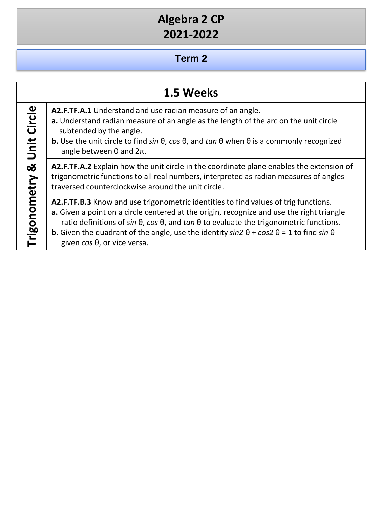#### **Term 2**

|                                  | 1.5 Weeks                                                                                                                                                                                                                                                                                                                                                                                                                                             |
|----------------------------------|-------------------------------------------------------------------------------------------------------------------------------------------------------------------------------------------------------------------------------------------------------------------------------------------------------------------------------------------------------------------------------------------------------------------------------------------------------|
| Circle<br>Unit<br>Trigonometry & | A2.F.TF.A.1 Understand and use radian measure of an angle.<br>a. Understand radian measure of an angle as the length of the arc on the unit circle<br>subtended by the angle.<br><b>b.</b> Use the unit circle to find sin $\theta$ , cos $\theta$ , and tan $\theta$ when $\theta$ is a commonly recognized<br>angle between 0 and $2\pi$ .                                                                                                          |
|                                  | A2.F.TF.A.2 Explain how the unit circle in the coordinate plane enables the extension of<br>trigonometric functions to all real numbers, interpreted as radian measures of angles<br>traversed counterclockwise around the unit circle.                                                                                                                                                                                                               |
|                                  | A2.F.TF.B.3 Know and use trigonometric identities to find values of trig functions.<br>a. Given a point on a circle centered at the origin, recognize and use the right triangle<br>ratio definitions of $sin \theta$ , $cos \theta$ , and $tan \theta$ to evaluate the trigonometric functions.<br><b>b.</b> Given the quadrant of the angle, use the identity $sin 2 \theta + cos 2 \theta = 1$ to find $sin \theta$<br>given cos θ, or vice versa. |